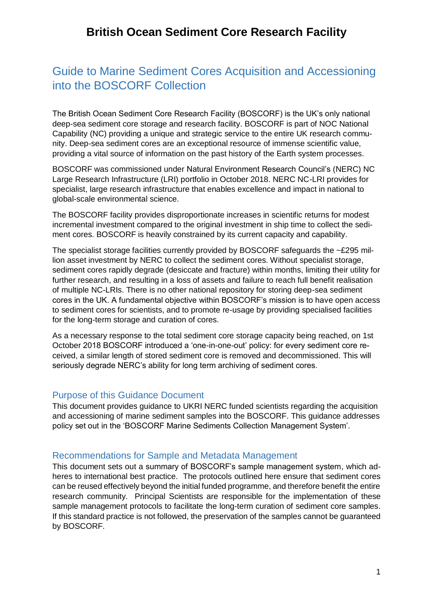# Guide to Marine Sediment Cores Acquisition and Accessioning into the BOSCORF Collection

The British Ocean Sediment Core Research Facility (BOSCORF) is the UK's only national deep-sea sediment core storage and research facility. BOSCORF is part of NOC National Capability (NC) providing a unique and strategic service to the entire UK research community. Deep-sea sediment cores are an exceptional resource of immense scientific value, providing a vital source of information on the past history of the Earth system processes.

BOSCORF was commissioned under Natural Environment Research Council's (NERC) NC Large Research Infrastructure (LRI) portfolio in October 2018. NERC NC-LRI provides for specialist, large research infrastructure that enables excellence and impact in national to global-scale environmental science.

The BOSCORF facility provides disproportionate increases in scientific returns for modest incremental investment compared to the original investment in ship time to collect the sediment cores. BOSCORF is heavily constrained by its current capacity and capability.

The specialist storage facilities currently provided by BOSCORF safeguards the ~£295 million asset investment by NERC to collect the sediment cores. Without specialist storage, sediment cores rapidly degrade (desiccate and fracture) within months, limiting their utility for further research, and resulting in a loss of assets and failure to reach full benefit realisation of multiple NC-LRIs. There is no other national repository for storing deep-sea sediment cores in the UK. A fundamental objective within BOSCORF's mission is to have open access to sediment cores for scientists, and to promote re-usage by providing specialised facilities for the long-term storage and curation of cores.

As a necessary response to the total sediment core storage capacity being reached, on 1st October 2018 BOSCORF introduced a 'one-in-one-out' policy: for every sediment core received, a similar length of stored sediment core is removed and decommissioned. This will seriously degrade NERC's ability for long term archiving of sediment cores.

### Purpose of this Guidance Document

This document provides guidance to UKRI NERC funded scientists regarding the acquisition and accessioning of marine sediment samples into the BOSCORF. This guidance addresses policy set out in the 'BOSCORF Marine Sediments Collection Management System'.

### Recommendations for Sample and Metadata Management

This document sets out a summary of BOSCORF's sample management system, which adheres to international best practice. The protocols outlined here ensure that sediment cores can be reused effectively beyond the initial funded programme, and therefore benefit the entire research community. Principal Scientists are responsible for the implementation of these sample management protocols to facilitate the long-term curation of sediment core samples. If this standard practice is not followed, the preservation of the samples cannot be guaranteed by BOSCORF.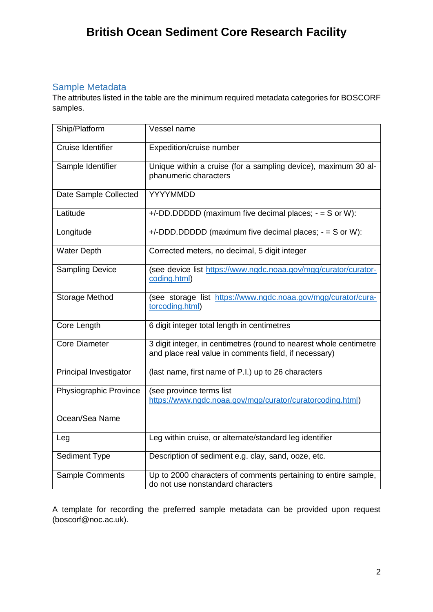# Sample Metadata

The attributes listed in the table are the minimum required metadata categories for BOSCORF samples.

| Ship/Platform            | Vessel name                                                                                                                 |
|--------------------------|-----------------------------------------------------------------------------------------------------------------------------|
| <b>Cruise Identifier</b> | Expedition/cruise number                                                                                                    |
| Sample Identifier        | Unique within a cruise (for a sampling device), maximum 30 al-<br>phanumeric characters                                     |
| Date Sample Collected    | YYYYMMDD                                                                                                                    |
| Latitude                 | $+/-DD$ .DDDDD (maximum five decimal places; $-$ = S or W):                                                                 |
| Longitude                | $+/-DDD.DDDDD$ (maximum five decimal places; $-$ = S or W):                                                                 |
| <b>Water Depth</b>       | Corrected meters, no decimal, 5 digit integer                                                                               |
| <b>Sampling Device</b>   | (see device list https://www.ngdc.noaa.gov/mgg/curator/curator-<br>coding.html)                                             |
| Storage Method           | (see storage list https://www.ngdc.noaa.gov/mgg/curator/cura-<br>torcoding.html)                                            |
| Core Length              | 6 digit integer total length in centimetres                                                                                 |
| <b>Core Diameter</b>     | 3 digit integer, in centimetres (round to nearest whole centimetre<br>and place real value in comments field, if necessary) |
| Principal Investigator   | (last name, first name of P.I.) up to 26 characters                                                                         |
| Physiographic Province   | (see province terms list<br>https://www.ngdc.noaa.gov/mgg/curator/curatorcoding.html)                                       |
| Ocean/Sea Name           |                                                                                                                             |
| Leg                      | Leg within cruise, or alternate/standard leg identifier                                                                     |
| Sediment Type            | Description of sediment e.g. clay, sand, ooze, etc.                                                                         |
| Sample Comments          | Up to 2000 characters of comments pertaining to entire sample,<br>do not use nonstandard characters                         |

A template for recording the preferred sample metadata can be provided upon request (boscorf@noc.ac.uk).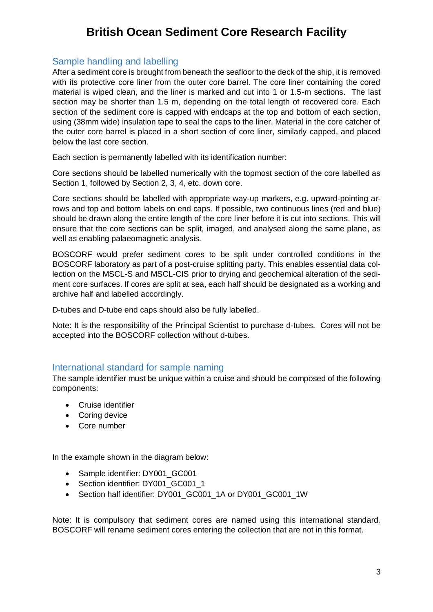# Sample handling and labelling

After a sediment core is brought from beneath the seafloor to the deck of the ship, it is removed with its protective core liner from the outer core barrel. The core liner containing the cored material is wiped clean, and the liner is marked and cut into 1 or 1.5-m sections. The last section may be shorter than 1.5 m, depending on the total length of recovered core. Each section of the sediment core is capped with endcaps at the top and bottom of each section, using (38mm wide) insulation tape to seal the caps to the liner. Material in the core catcher of the outer core barrel is placed in a short section of core liner, similarly capped, and placed below the last core section.

Each section is permanently labelled with its identification number:

Core sections should be labelled numerically with the topmost section of the core labelled as Section 1, followed by Section 2, 3, 4, etc. down core.

Core sections should be labelled with appropriate way-up markers, e.g. upward-pointing arrows and top and bottom labels on end caps. If possible, two continuous lines (red and blue) should be drawn along the entire length of the core liner before it is cut into sections. This will ensure that the core sections can be split, imaged, and analysed along the same plane, as well as enabling palaeomagnetic analysis.

BOSCORF would prefer sediment cores to be split under controlled conditions in the BOSCORF laboratory as part of a post-cruise splitting party. This enables essential data collection on the MSCL-S and MSCL-CIS prior to drying and geochemical alteration of the sediment core surfaces. If cores are split at sea, each half should be designated as a working and archive half and labelled accordingly.

D-tubes and D-tube end caps should also be fully labelled.

Note: It is the responsibility of the Principal Scientist to purchase d-tubes. Cores will not be accepted into the BOSCORF collection without d-tubes.

### International standard for sample naming

The sample identifier must be unique within a cruise and should be composed of the following components:

- Cruise identifier
- Coring device
- Core number

In the example shown in the diagram below:

- Sample identifier: DY001 GC001
- Section identifier: DY001 GC001 1
- Section half identifier: DY001\_GC001\_1A or DY001\_GC001\_1W

Note: It is compulsory that sediment cores are named using this international standard. BOSCORF will rename sediment cores entering the collection that are not in this format.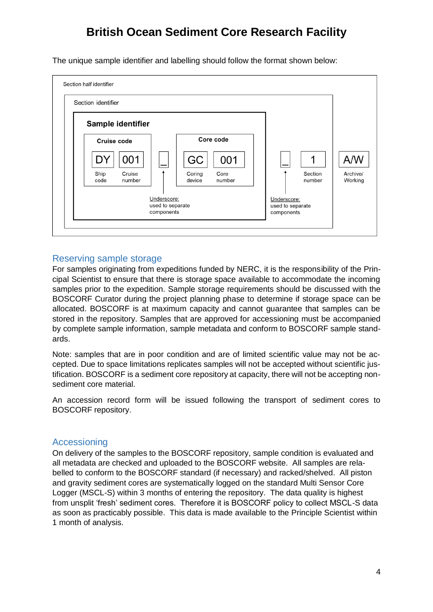The unique sample identifier and labelling should follow the format shown below:



## Reserving sample storage

For samples originating from expeditions funded by NERC, it is the responsibility of the Principal Scientist to ensure that there is storage space available to accommodate the incoming samples prior to the expedition. Sample storage requirements should be discussed with the BOSCORF Curator during the project planning phase to determine if storage space can be allocated. BOSCORF is at maximum capacity and cannot guarantee that samples can be stored in the repository. Samples that are approved for accessioning must be accompanied by complete sample information, sample metadata and conform to BOSCORF sample standards.

Note: samples that are in poor condition and are of limited scientific value may not be accepted. Due to space limitations replicates samples will not be accepted without scientific justification. BOSCORF is a sediment core repository at capacity, there will not be accepting nonsediment core material.

An accession record form will be issued following the transport of sediment cores to BOSCORF repository.

### Accessioning

On delivery of the samples to the BOSCORF repository, sample condition is evaluated and all metadata are checked and uploaded to the BOSCORF website. All samples are relabelled to conform to the BOSCORF standard (if necessary) and racked/shelved. All piston and gravity sediment cores are systematically logged on the standard Multi Sensor Core Logger (MSCL-S) within 3 months of entering the repository. The data quality is highest from unsplit 'fresh' sediment cores. Therefore it is BOSCORF policy to collect MSCL-S data as soon as practicably possible. This data is made available to the Principle Scientist within 1 month of analysis.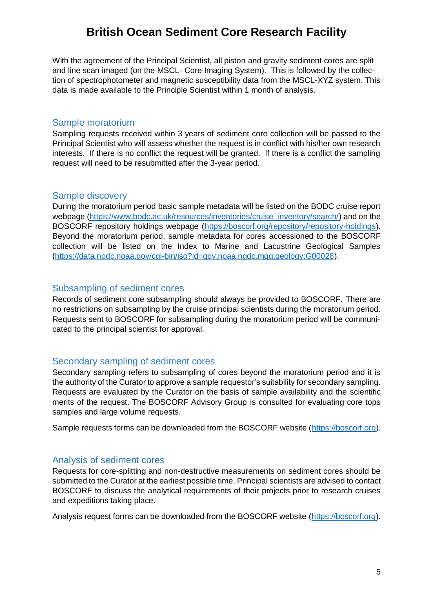With the agreement of the Principal Scientist, all piston and gravity sediment cores are split and line scan imaged (on the MSCL- Core Imaging System). This is followed by the collection of spectrophotometer and magnetic susceptibility data from the MSCL-XYZ system. This data is made available to the Principle Scientist within 1 month of analysis.

#### Sample moratorium

Sampling requests received within 3 years of sediment core collection will be passed to the Principal Scientist who will assess whether the request is in conflict with his/her own research interests. If there is no conflict the request will be granted. If there is a conflict the sampling request will need to be resubmitted after the 3-year period.

### Sample discovery

During the moratorium period basic sample metadata will be listed on the BODC cruise report webpage [\(https://www.bodc.ac.uk/resources/inventories/cruise\\_inventory/search/\)](https://www.bodc.ac.uk/resources/inventories/cruise_inventory/search/) and on the BOSCORF repository holdings webpage [\(https://boscorf.org/repository/repository-holdings\)](https://boscorf.org/repository/repository-holdings). Beyond the moratorium period, sample metadata for cores accessioned to the BOSCORF collection will be listed on the Index to Marine and Lacustrine Geological Samples [\(https://data.nodc.noaa.gov/cgi-bin/iso?id=gov.noaa.ngdc.mgg.geology:G00028\)](https://data.nodc.noaa.gov/cgi-bin/iso?id=gov.noaa.ngdc.mgg.geology:G00028).

### Subsampling of sediment cores

Records of sediment core subsampling should always be provided to BOSCORF. There are no restrictions on subsampling by the cruise principal scientists during the moratorium period. Requests sent to BOSCORF for subsampling during the moratorium period will be communicated to the principal scientist for approval.

### Secondary sampling of sediment cores

Secondary sampling refers to subsampling of cores beyond the moratorium period and it is the authority of the Curator to approve a sample requestor's suitability for secondary sampling. Requests are evaluated by the Curator on the basis of sample availability and the scientific merits of the request. The BOSCORF Advisory Group is consulted for evaluating core tops samples and large volume requests.

Sample requests forms can be downloaded from the BOSCORF website [\(https://boscorf.org\)](https://boscorf.org/).

### Analysis of sediment cores

Requests for core-splitting and non-destructive measurements on sediment cores should be submitted to the Curator at the earliest possible time. Principal scientists are advised to contact BOSCORF to discuss the analytical requirements of their projects prior to research cruises and expeditions taking place.

Analysis request forms can be downloaded from the BOSCORF website [\(https://boscorf.org\)](https://boscorf.org/).